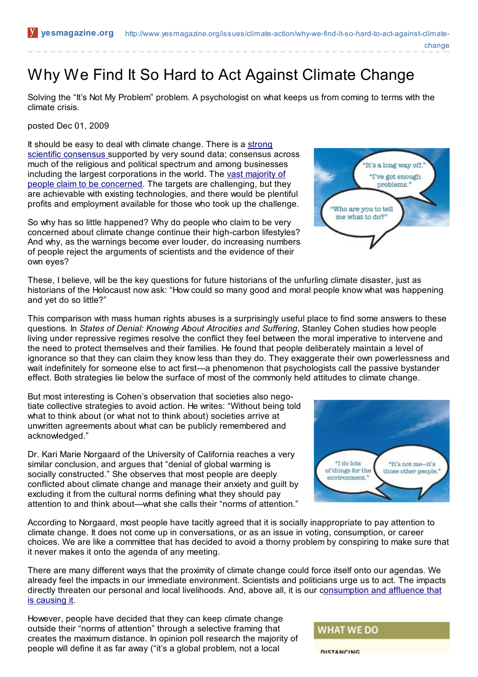Why We Find It So Hard to Act Against Climate Change

Solving the "It's Not My Problem" problem. A psychologist on what keeps us from coming to terms with the climate crisis.

posted Dec 01, 2009

It should be easy to deal with climate change. There is a strong scientific [consensus](http://www.yesmagazine.org/issues/climate-action/climate-action-what-will-it-take-to-avert-disastrous-climate-change) supported by very sound data; consensus across much of the religious and political spectrum and among businesses including the largest [corporations](http://www.yesmagazine.org/issues/climate-action/public-attitudes-knowledge-and-values-about-the-climate) in the world. The vast majority of people claim to be concerned. The targets are challenging, but they are achievable with existing technologies, and there would be plentiful profits and employment available for those who took up the challenge.

So why has so little happened? Why do people who claim to be very concerned about climate change continue their high-carbon lifestyles? And why, as the warnings become ever louder, do increasing numbers of people reject the arguments of scientists and the evidence of their own eyes?

"I've got enough problems." Who are you to tell me what to do?

"It's a long way off."

change

These, I believe, will be the key questions for future historians of the unfurling climate disaster, just as historians of the Holocaust now ask: "How could so many good and moral people know what was happening and yet do so little?"

This comparison with mass human rights abuses is a surprisingly useful place to find some answers to these questions. In *States of Denial: Knowing About Atrocities and Suffering*, Stanley Cohen studies how people living under repressive regimes resolve the conflict they feel between the moral imperative to intervene and the need to protect themselves and their families. He found that people deliberately maintain a level of ignorance so that they can claim they know less than they do. They exaggerate their own powerlessness and wait indefinitely for someone else to act first—a phenomenon that psychologists call the passive bystander effect. Both strategies lie below the surface of most of the commonly held attitudes to climate change.

But most interesting is Cohen's observation that societies also negotiate collective strategies to avoid action. He writes: "Without being told what to think about (or what not to think about) societies arrive at unwritten agreements about what can be publicly remembered and acknowledged."

Dr. Kari Marie Norgaard of the University of California reaches a very similar conclusion, and argues that "denial of global warming is socially constructed." She observes that most people are deeply conflicted about climate change and manage their anxiety and guilt by excluding it from the cultural norms defining what they should pay attention to and think about—what she calls their "norms of attention."

According to Norgaard, most people have tacitly agreed that it is socially inappropriate to pay attention to climate change. It does not come up in conversations, or as an issue in voting, consumption, or career choices. We are like a committee that has decided to avoid a thorny problem by conspiring to make sure that it never makes it onto the agenda of any meeting.

There are many different ways that the proximity of climate change could force itself onto our agendas. We already feel the impacts in our immediate environment. Scientists and politicians urge us to act. The impacts directly threaten our personal and local livelihoods. And, above all, it is our [consumption](http://www.yesmagazine.org/issues/climate-action/annie-leonard-on-life-after-stuff) and affluence that is causing it.

However, people have decided that they can keep climate change outside their "norms of attention" through a selective framing that creates the maximum distance. In opinion poll research the majority of people will define it as far away ("it's a global problem, not a local

### **WHAT WE DO**





DISTANCING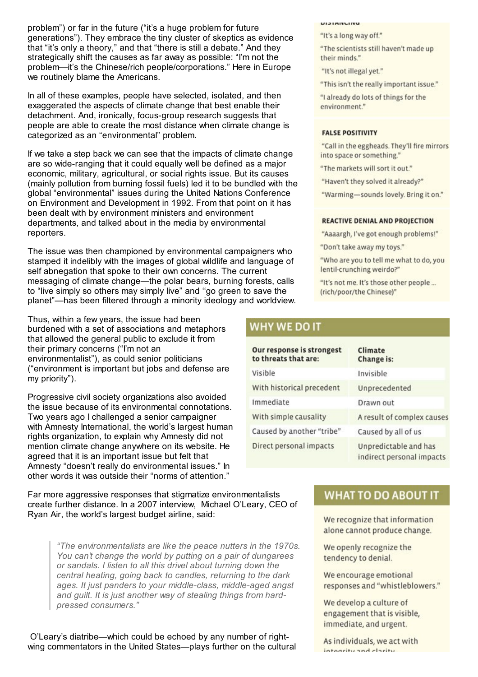problem") or far in the future ("it's a huge problem for future generations"). They embrace the tiny cluster of skeptics as evidence that "it's only a theory," and that "there is still a debate." And they strategically shift the causes as far away as possible: "I'm not the problem—it's the Chinese/rich people/corporations." Here in Europe we routinely blame the Americans.

In all of these examples, people have selected, isolated, and then exaggerated the aspects of climate change that best enable their detachment. And, ironically, focus-group research suggests that people are able to create the most distance when climate change is categorized as an "environmental" problem.

If we take a step back we can see that the impacts of climate change are so wide-ranging that it could equally well be defined as a major economic, military, agricultural, or social rights issue. But its causes (mainly pollution from burning fossil fuels) led it to be bundled with the global "environmental" issues during the United Nations Conference on Environment and Development in 1992. From that point on it has been dealt with by environment ministers and environment departments, and talked about in the media by environmental reporters.

The issue was then championed by environmental campaigners who stamped it indelibly with the images of global wildlife and language of self abnegation that spoke to their own concerns. The current messaging of climate change—the polar bears, burning forests, calls to "live simply so others may simply live" and ''go green to save the planet"—has been filtered through a minority ideology and worldview.

Thus, within a few years, the issue had been burdened with a set of associations and metaphors that allowed the general public to exclude it from their primary concerns ("I'm not an environmentalist"), as could senior politicians ("environment is important but jobs and defense are my priority").

Progressive civil society organizations also avoided the issue because of its environmental connotations. Two years ago I challenged a senior campaigner with Amnesty International, the world's largest human rights organization, to explain why Amnesty did not mention climate change anywhere on its website. He agreed that it is an important issue but felt that Amnesty "doesn't really do environmental issues." In other words it was outside their "norms of attention."

Far more aggressive responses that stigmatize environmentalists create further distance. In a 2007 interview, Michael O'Leary, CEO of Ryan Air, the world's largest budget airline, said:

> *"The environmentalists are like the peace nutters in the 1970s. You can't change the world by putting on a pair of dungarees or sandals. I listen to all this drivel about turning down the central heating, going back to candles, returning to the dark ages. It just panders to your middle-class, middle-aged angst and guilt. It is just another way of stealing things from hardpressed consumers."*

O'Leary's diatribe—which could be echoed by any number of rightwing commentators in the United States—plays further on the cultural

#### UIJIMITUITU

- "It's a long way off."
- "The scientists still haven't made up their minds."
- "It's not illegal yet."
- "This isn't the really important issue."

"I already do lots of things for the environment."

### **FALSE POSITIVITY**

"Call in the eggheads. They'll fire mirrors into space or something."

- "The markets will sort it out."
- "Haven't they solved it already?"
- "Warming-sounds lovely. Bring it on."

#### **REACTIVE DENIAL AND PROJECTION**

- "Aaaargh, I've got enough problems!"
- "Don't take away my toys."
- "Who are you to tell me what to do, you lentil-crunching weirdo?"
- "It's not me. It's those other people ... (rich/poor/the Chinese)"

## **WHY WE DO IT**

| Our response is strongest<br>to threats that are: | Climate<br>Change is:                              |
|---------------------------------------------------|----------------------------------------------------|
| Visible                                           | Invisible                                          |
| With historical precedent                         | Unprecedented                                      |
| Immediate                                         | Drawn out                                          |
| With simple causality                             | A result of complex causes                         |
| Caused by another "tribe"                         | Caused by all of us                                |
| Direct personal impacts                           | Unpredictable and has<br>indirect personal impacts |

# **WHAT TO DO ABOUT IT**

We recognize that information alone cannot produce change.

We openly recognize the tendency to denial.

We encourage emotional responses and "whistleblowers."

We develop a culture of engagement that is visible, immediate, and urgent.

As individuals, we act with integrity and clarity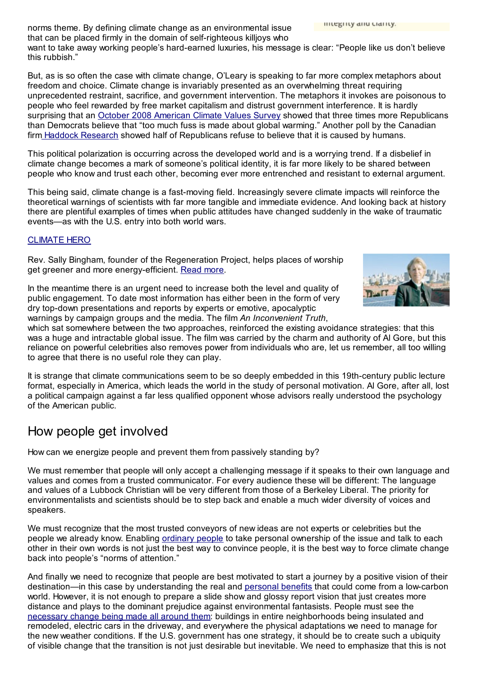integrity and clarity. norms theme. By defining climate change as an environmental issue that can be placed firmly in the domain of self-righteous killjoys who want to take away working people's hard-earned luxuries, his message is clear: "People like us don't believe this rubbish."

But, as is so often the case with climate change, O'Leary is speaking to far more complex metaphors about freedom and choice. Climate change is invariably presented as an overwhelming threat requiring unprecedented restraint, sacrifice, and government intervention. The metaphors it invokes are poisonous to people who feel rewarded by free market capitalism and distrust government interference. It is hardly surprising that an October 2008 [American](http://www.ecoamerica.org/docs/ecoAmerica_ACVS_Summary.pdf) Climate Values Survey showed that three times more Republicans than Democrats believe that "too much fuss is made about global warming." Another poll by the Canadian firm Haddock [Research](http://www.haddock-research.com/) showed half of Republicans refuse to believe that it is caused by humans.

This political polarization is occurring across the developed world and is a worrying trend. If a disbelief in climate change becomes a mark of someone's political identity, it is far more likely to be shared between people who know and trust each other, becoming ever more entrenched and resistant to external argument.

This being said, climate change is a fast-moving field. Increasingly severe climate impacts will reinforce the theoretical warnings of scientists with far more tangible and immediate evidence. And looking back at history there are plentiful examples of times when public attitudes have changed suddenly in the wake of traumatic events—as with the U.S. entry into both world wars.

### [CLIMATE](http://www.yesmagazine.org/issues/climate-action/climate-hero-rev.-canon-sally-bingham) HERO

Rev. Sally Bingham, founder of the Regeneration Project, helps places of worship get greener and more energy-efficient. [Read](http://www.yesmagazine.org/issues/climate-action/climate-hero-rev.-canon-sally-bingham) more.

In the meantime there is an urgent need to increase both the level and quality of public engagement. To date most information has either been in the form of very dry top-down presentations and reports by experts or emotive, apocalyptic warnings by campaign groups and the media. The film *An Inconvenient Truth*,



which sat somewhere between the two approaches, reinforced the existing avoidance strategies: that this was a huge and intractable global issue. The film was carried by the charm and authority of Al Gore, but this reliance on powerful celebrities also removes power from individuals who are, let us remember, all too willing to agree that there is no useful role they can play.

It is strange that climate communications seem to be so deeply embedded in this 19th-century public lecture format, especially in America, which leads the world in the study of personal motivation. Al Gore, after all, lost a political campaign against a far less qualified opponent whose advisors really understood the psychology of the American public.

# How people get involved

How can we energize people and prevent them from passively standing by?

We must remember that people will only accept a challenging message if it speaks to their own language and values and comes from a trusted communicator. For every audience these will be different: The language and values of a Lubbock Christian will be very different from those of a Berkeley Liberal. The priority for environmentalists and scientists should be to step back and enable a much wider diversity of voices and speakers.

We must recognize that the most trusted conveyors of new ideas are not experts or celebrities but the people we already know. Enabling [ordinary](http://www.yesmagazine.org/issues/climate-action/annie-leonard-on-life-after-stuff) people to take personal ownership of the issue and talk to each other in their own words is not just the best way to convince people, it is the best way to force climate change back into people's "norms of attention."

And finally we need to recognize that people are best motivated to start a journey by a positive vision of their destination—in this case by understanding the real and [personal](http://www.yesmagazine.org/issues/climate-action/10-ways-to-change-your-life) benefits that could come from a low-carbon world. However, it is not enough to prepare a slide show and glossy report vision that just creates more distance and plays to the dominant prejudice against environmental fantasists. People must see the [necessary](http://www.yesmagazine.org/issues/climate-action/towns-rush-to-make-low-carbon-transition) change being made all around them: buildings in entire neighborhoods being insulated and remodeled, electric cars in the driveway, and everywhere the physical adaptations we need to manage for the new weather conditions. If the U.S. government has one strategy, it should be to create such a ubiquity of visible change that the transition is not just desirable but inevitable. We need to emphasize that this is not